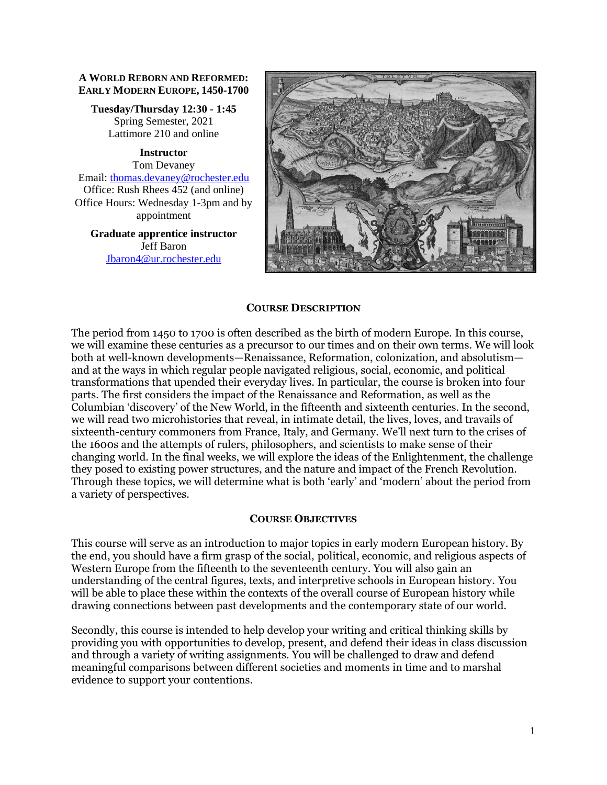#### **A WORLD REBORN AND REFORMED: EARLY MODERN EUROPE, 1450-1700**

**Tuesday/Thursday 12:30 - 1:45** Spring Semester, 2021 Lattimore 210 and online

**Instructor** Tom Devaney Email: [thomas.devaney@rochester.edu](mailto:thomas.devaney@rochester.edu) Office: Rush Rhees 452 (and online) Office Hours: Wednesday 1-3pm and by appointment

**Graduate apprentice instructor** Jeff Baron [Jbaron4@ur.rochester.edu](mailto:Jbaron4@ur.rochester.edu)



#### **COURSE DESCRIPTION**

The period from 1450 to 1700 is often described as the birth of modern Europe. In this course, we will examine these centuries as a precursor to our times and on their own terms. We will look both at well-known developments—Renaissance, Reformation, colonization, and absolutism and at the ways in which regular people navigated religious, social, economic, and political transformations that upended their everyday lives. In particular, the course is broken into four parts. The first considers the impact of the Renaissance and Reformation, as well as the Columbian 'discovery' of the New World, in the fifteenth and sixteenth centuries. In the second, we will read two microhistories that reveal, in intimate detail, the lives, loves, and travails of sixteenth-century commoners from France, Italy, and Germany. We'll next turn to the crises of the 1600s and the attempts of rulers, philosophers, and scientists to make sense of their changing world. In the final weeks, we will explore the ideas of the Enlightenment, the challenge they posed to existing power structures, and the nature and impact of the French Revolution. Through these topics, we will determine what is both 'early' and 'modern' about the period from a variety of perspectives.

#### **COURSE OBJECTIVES**

This course will serve as an introduction to major topics in early modern European history. By the end, you should have a firm grasp of the social, political, economic, and religious aspects of Western Europe from the fifteenth to the seventeenth century. You will also gain an understanding of the central figures, texts, and interpretive schools in European history. You will be able to place these within the contexts of the overall course of European history while drawing connections between past developments and the contemporary state of our world.

Secondly, this course is intended to help develop your writing and critical thinking skills by providing you with opportunities to develop, present, and defend their ideas in class discussion and through a variety of writing assignments. You will be challenged to draw and defend meaningful comparisons between different societies and moments in time and to marshal evidence to support your contentions.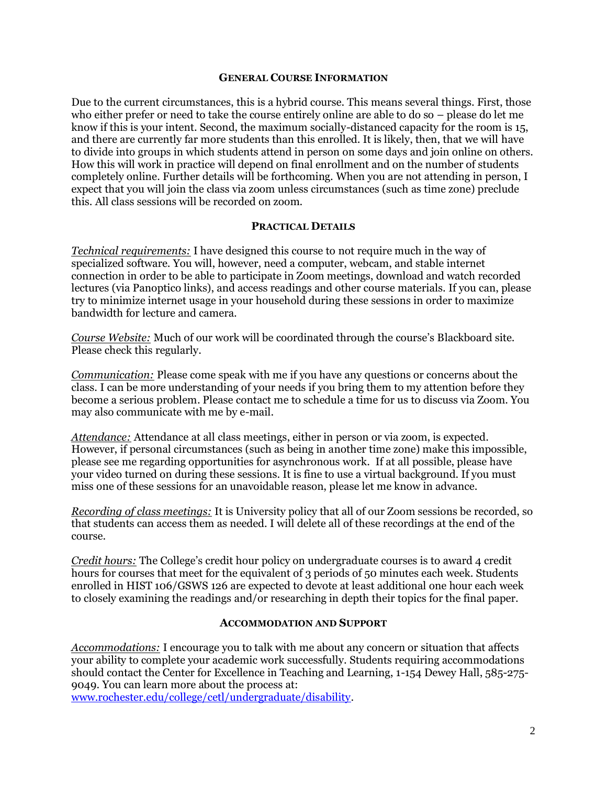#### **GENERAL COURSE INFORMATION**

Due to the current circumstances, this is a hybrid course. This means several things. First, those who either prefer or need to take the course entirely online are able to do so – please do let me know if this is your intent. Second, the maximum socially-distanced capacity for the room is 15, and there are currently far more students than this enrolled. It is likely, then, that we will have to divide into groups in which students attend in person on some days and join online on others. How this will work in practice will depend on final enrollment and on the number of students completely online. Further details will be forthcoming. When you are not attending in person, I expect that you will join the class via zoom unless circumstances (such as time zone) preclude this. All class sessions will be recorded on zoom.

#### **PRACTICAL DETAILS**

*Technical requirements:* I have designed this course to not require much in the way of specialized software. You will, however, need a computer, webcam, and stable internet connection in order to be able to participate in Zoom meetings, download and watch recorded lectures (via Panoptico links), and access readings and other course materials. If you can, please try to minimize internet usage in your household during these sessions in order to maximize bandwidth for lecture and camera.

*Course Website:* Much of our work will be coordinated through the course's Blackboard site. Please check this regularly.

*Communication:* Please come speak with me if you have any questions or concerns about the class. I can be more understanding of your needs if you bring them to my attention before they become a serious problem. Please contact me to schedule a time for us to discuss via Zoom. You may also communicate with me by e-mail.

*Attendance:* Attendance at all class meetings, either in person or via zoom, is expected. However, if personal circumstances (such as being in another time zone) make this impossible, please see me regarding opportunities for asynchronous work. If at all possible, please have your video turned on during these sessions. It is fine to use a virtual background. If you must miss one of these sessions for an unavoidable reason, please let me know in advance.

*Recording of class meetings:* It is University policy that all of our Zoom sessions be recorded, so that students can access them as needed. I will delete all of these recordings at the end of the course.

*Credit hours:* The College's credit hour policy on undergraduate courses is to award 4 credit hours for courses that meet for the equivalent of 3 periods of 50 minutes each week. Students enrolled in HIST 106/GSWS 126 are expected to devote at least additional one hour each week to closely examining the readings and/or researching in depth their topics for the final paper.

#### **ACCOMMODATION AND SUPPORT**

*Accommodations:* I encourage you to talk with me about any concern or situation that affects your ability to complete your academic work successfully. Students requiring accommodations should contact the Center for Excellence in Teaching and Learning, 1-154 Dewey Hall, 585-275- 9049. You can learn more about the process at:

[www.rochester.edu/college/cetl/undergraduate/disability.](http://www.rochester.edu/college/cetl/undergraduate/disability)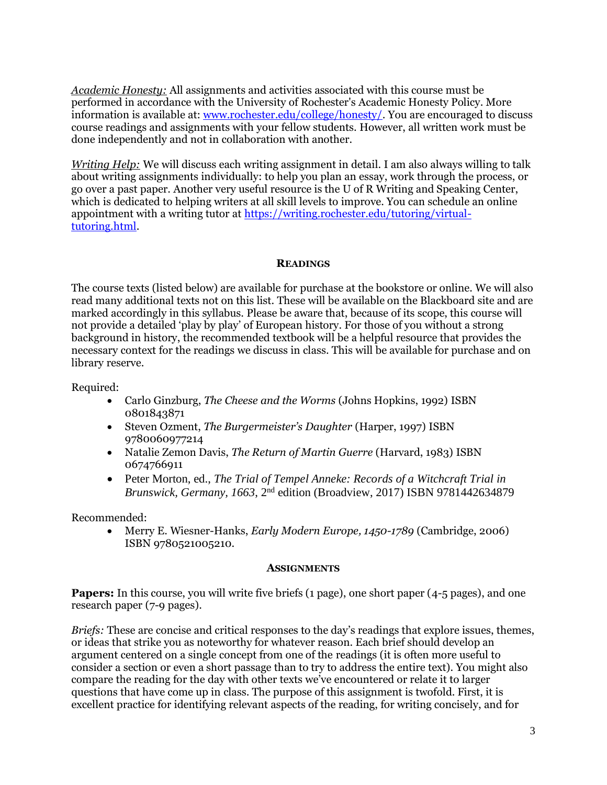*Academic Honesty:* All assignments and activities associated with this course must be performed in accordance with the University of Rochester's Academic Honesty Policy. More information is available at: [www.rochester.edu/college/honesty/.](http://www.rochester.edu/college/honesty/) You are encouraged to discuss course readings and assignments with your fellow students. However, all written work must be done independently and not in collaboration with another.

*Writing Help:* We will discuss each writing assignment in detail. I am also always willing to talk about writing assignments individually: to help you plan an essay, work through the process, or go over a past paper. Another very useful resource is the U of R Writing and Speaking Center, which is dedicated to helping writers at all skill levels to improve. You can schedule an online appointment with a writing tutor at [https://writing.rochester.edu/tutoring/virtual](https://writing.rochester.edu/tutoring/virtual-tutoring.html)[tutoring.html.](https://writing.rochester.edu/tutoring/virtual-tutoring.html)

#### **READINGS**

The course texts (listed below) are available for purchase at the bookstore or online. We will also read many additional texts not on this list. These will be available on the Blackboard site and are marked accordingly in this syllabus. Please be aware that, because of its scope, this course will not provide a detailed 'play by play' of European history. For those of you without a strong background in history, the recommended textbook will be a helpful resource that provides the necessary context for the readings we discuss in class. This will be available for purchase and on library reserve.

Required:

- Carlo Ginzburg, *The Cheese and the Worms* (Johns Hopkins, 1992) ISBN 0801843871
- Steven Ozment, *The Burgermeister's Daughter* (Harper, 1997) ISBN 9780060977214
- Natalie Zemon Davis, *The Return of Martin Guerre* (Harvard, 1983) ISBN 0674766911
- Peter Morton, ed., *The Trial of Tempel Anneke: Records of a Witchcraft Trial in Brunswick, Germany, 1663*, 2nd edition (Broadview, 2017) ISBN 9781442634879

Recommended:

• Merry E. Wiesner-Hanks, *Early Modern Europe, 1450-1789* (Cambridge, 2006) ISBN 9780521005210.

#### **ASSIGNMENTS**

**Papers:** In this course, you will write five briefs (1 page), one short paper (4-5 pages), and one research paper (7-9 pages).

*Briefs:* These are concise and critical responses to the day's readings that explore issues, themes, or ideas that strike you as noteworthy for whatever reason. Each brief should develop an argument centered on a single concept from one of the readings (it is often more useful to consider a section or even a short passage than to try to address the entire text). You might also compare the reading for the day with other texts we've encountered or relate it to larger questions that have come up in class. The purpose of this assignment is twofold. First, it is excellent practice for identifying relevant aspects of the reading, for writing concisely, and for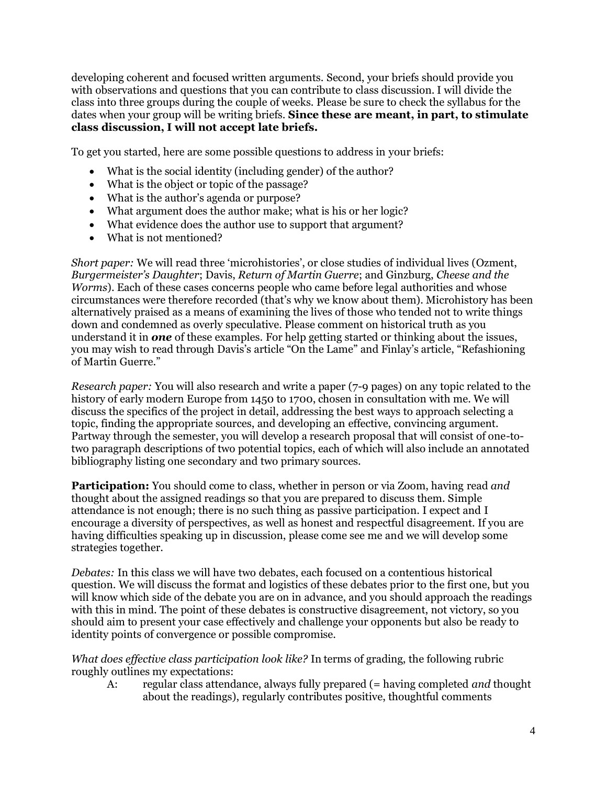developing coherent and focused written arguments. Second, your briefs should provide you with observations and questions that you can contribute to class discussion. I will divide the class into three groups during the couple of weeks. Please be sure to check the syllabus for the dates when your group will be writing briefs. **Since these are meant, in part, to stimulate class discussion, I will not accept late briefs.** 

To get you started, here are some possible questions to address in your briefs:

- What is the social identity (including gender) of the author?
- What is the object or topic of the passage?
- What is the author's agenda or purpose?
- What argument does the author make; what is his or her logic?
- What evidence does the author use to support that argument?
- What is not mentioned?

*Short paper:* We will read three 'microhistories', or close studies of individual lives (Ozment, *Burgermeister's Daughter*; Davis, *Return of Martin Guerre*; and Ginzburg, *Cheese and the Worms*). Each of these cases concerns people who came before legal authorities and whose circumstances were therefore recorded (that's why we know about them). Microhistory has been alternatively praised as a means of examining the lives of those who tended not to write things down and condemned as overly speculative. Please comment on historical truth as you understand it in *one* of these examples. For help getting started or thinking about the issues, you may wish to read through Davis's article "On the Lame" and Finlay's article, "Refashioning of Martin Guerre."

*Research paper:* You will also research and write a paper (7-9 pages) on any topic related to the history of early modern Europe from 1450 to 1700, chosen in consultation with me. We will discuss the specifics of the project in detail, addressing the best ways to approach selecting a topic, finding the appropriate sources, and developing an effective, convincing argument. Partway through the semester, you will develop a research proposal that will consist of one-totwo paragraph descriptions of two potential topics, each of which will also include an annotated bibliography listing one secondary and two primary sources.

**Participation:** You should come to class, whether in person or via Zoom, having read *and* thought about the assigned readings so that you are prepared to discuss them. Simple attendance is not enough; there is no such thing as passive participation. I expect and I encourage a diversity of perspectives, as well as honest and respectful disagreement. If you are having difficulties speaking up in discussion, please come see me and we will develop some strategies together.

*Debates:* In this class we will have two debates, each focused on a contentious historical question. We will discuss the format and logistics of these debates prior to the first one, but you will know which side of the debate you are on in advance, and you should approach the readings with this in mind. The point of these debates is constructive disagreement, not victory, so you should aim to present your case effectively and challenge your opponents but also be ready to identity points of convergence or possible compromise.

*What does effective class participation look like?* In terms of grading, the following rubric roughly outlines my expectations:

A: regular class attendance, always fully prepared (= having completed *and* thought about the readings), regularly contributes positive, thoughtful comments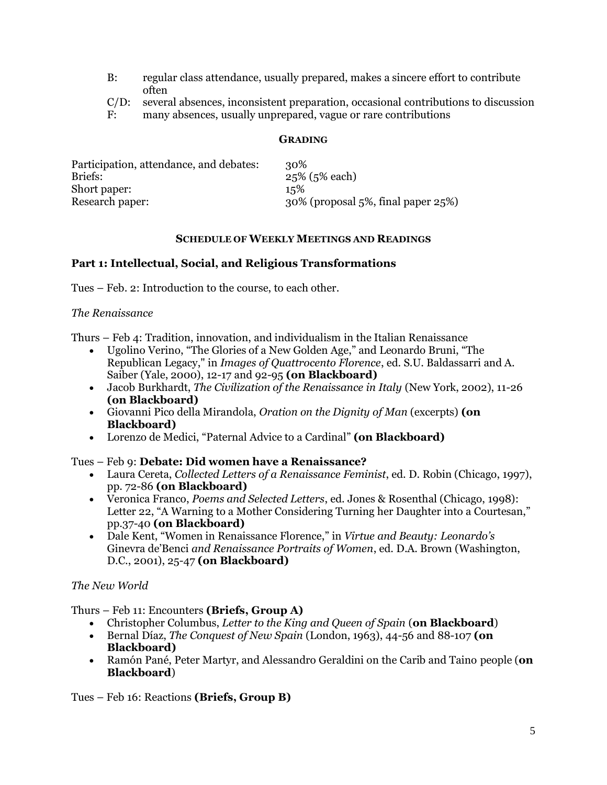- B: regular class attendance, usually prepared, makes a sincere effort to contribute often
- C/D: several absences, inconsistent preparation, occasional contributions to discussion
- F: many absences, usually unprepared, vague or rare contributions

#### **GRADING**

| Participation, attendance, and debates: | 30%                                   |
|-----------------------------------------|---------------------------------------|
| Briefs:                                 | $25\%$ (5% each)                      |
| Short paper:                            | 15%                                   |
| Research paper:                         | $30\%$ (proposal 5%, final paper 25%) |

#### **SCHEDULE OF WEEKLY MEETINGS AND READINGS**

#### **Part 1: Intellectual, Social, and Religious Transformations**

Tues – Feb. 2: Introduction to the course, to each other.

#### *The Renaissance*

Thurs – Feb 4: Tradition, innovation, and individualism in the Italian Renaissance

- Ugolino Verino, "The Glories of a New Golden Age," and Leonardo Bruni, "The Republican Legacy," in *Images of Quattrocento Florence*, ed. S.U. Baldassarri and A. Saiber (Yale, 2000), 12-17 and 92-95 **(on Blackboard)**
- Jacob Burkhardt, *The Civilization of the Renaissance in Italy* (New York, 2002), 11-26 **(on Blackboard)**
- Giovanni Pico della Mirandola, *Oration on the Dignity of Man* (excerpts) **(on Blackboard)**
- Lorenzo de Medici, "Paternal Advice to a Cardinal" **(on Blackboard)**

## Tues – Feb 9: **Debate: Did women have a Renaissance?**

- Laura Cereta, *Collected Letters of a Renaissance Feminist*, ed. D. Robin (Chicago, 1997), pp. 72-86 **(on Blackboard)**
- Veronica Franco, *Poems and Selected Letters*, ed. Jones & Rosenthal (Chicago, 1998): Letter 22, "A Warning to a Mother Considering Turning her Daughter into a Courtesan," pp.37-40 **(on Blackboard)**
- Dale Kent, "Women in Renaissance Florence," in *Virtue and Beauty: Leonardo's*  Ginevra de'Benci *and Renaissance Portraits of Women*, ed. D.A. Brown (Washington, D.C., 2001), 25-47 **(on Blackboard)**

## *The New World*

Thurs – Feb 11: Encounters **(Briefs, Group A)**

- Christopher Columbus, *Letter to the King and Queen of Spain* (**on Blackboard**)
- Bernal Díaz, *The Conquest of New Spain* (London, 1963), 44-56 and 88-107 **(on Blackboard)**
- Ramón Pané, Peter Martyr, and Alessandro Geraldini on the Carib and Taino people (**on Blackboard**)

Tues – Feb 16: Reactions **(Briefs, Group B)**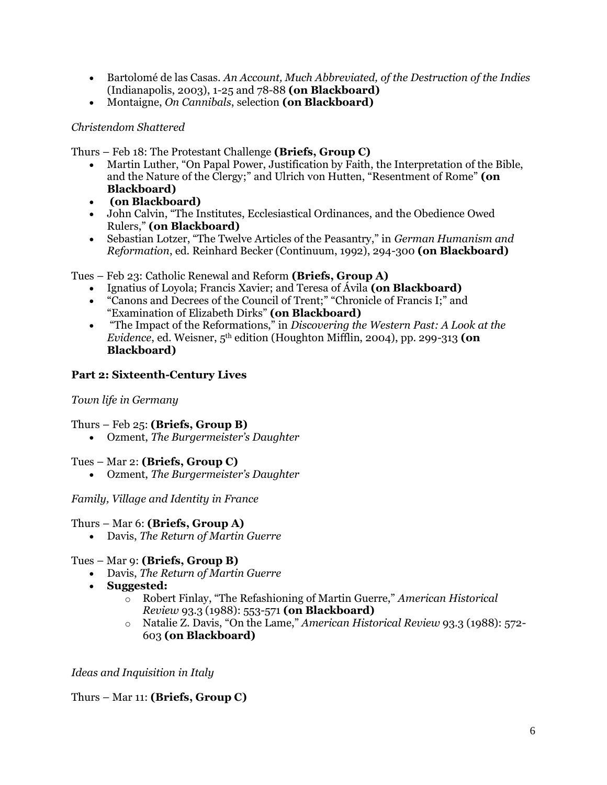- Bartolomé de las Casas. *An Account, Much Abbreviated, of the Destruction of the Indies* (Indianapolis, 2003), 1-25 and 78-88 **(on Blackboard)**
- Montaigne, *On Cannibals*, selection **(on Blackboard)**

# *Christendom Shattered*

Thurs – Feb 18: The Protestant Challenge **(Briefs, Group C)**

- Martin Luther, "On Papal Power, Justification by Faith, the Interpretation of the Bible, and the Nature of the Clergy;" and Ulrich von Hutten, "Resentment of Rome" **(on Blackboard)**
- **(on Blackboard)**
- John Calvin, "The Institutes, Ecclesiastical Ordinances, and the Obedience Owed Rulers," **(on Blackboard)**
- Sebastian Lotzer, "The Twelve Articles of the Peasantry," in *German Humanism and Reformation*, ed. Reinhard Becker (Continuum, 1992), 294-300 **(on Blackboard)**

Tues – Feb 23: Catholic Renewal and Reform **(Briefs, Group A)**

- Ignatius of Loyola; Francis Xavier; and Teresa of Ávila **(on Blackboard)**
- "Canons and Decrees of the Council of Trent;" "Chronicle of Francis I;" and "Examination of Elizabeth Dirks" **(on Blackboard)**
- "The Impact of the Reformations," in *Discovering the Western Past: A Look at the Evidence*, ed. Weisner, 5th edition (Houghton Mifflin, 2004), pp. 299-313 **(on Blackboard)**

## **Part 2: Sixteenth-Century Lives**

## *Town life in Germany*

## Thurs – Feb 25: **(Briefs, Group B)**

• Ozment, *The Burgermeister's Daughter*

## Tues – Mar 2: **(Briefs, Group C)**

• Ozment, *The Burgermeister's Daughter*

## *Family, Village and Identity in France*

## Thurs – Mar 6: **(Briefs, Group A)**

• Davis, *The Return of Martin Guerre*

## Tues – Mar 9: **(Briefs, Group B)**

- Davis, *The Return of Martin Guerre*
- **Suggested:**
	- o Robert Finlay, "The Refashioning of Martin Guerre," *American Historical Review* 93.3 (1988): 553-571 **(on Blackboard)**
	- o Natalie Z. Davis, "On the Lame," *American Historical Review* 93.3 (1988): 572- 603 **(on Blackboard)**

## *Ideas and Inquisition in Italy*

## Thurs – Mar 11: **(Briefs, Group C)**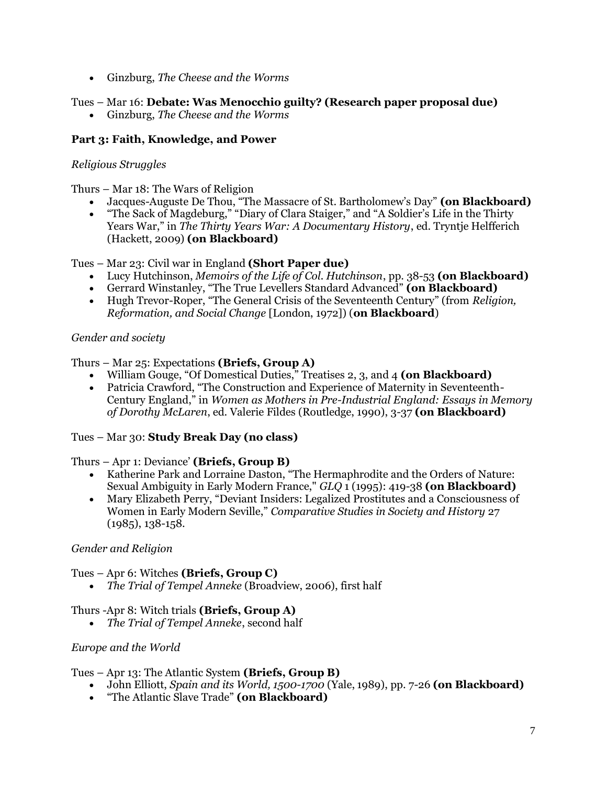• Ginzburg, *The Cheese and the Worms*

# Tues – Mar 16: **Debate: Was Menocchio guilty? (Research paper proposal due)**

• Ginzburg, *The Cheese and the Worms*

# **Part 3: Faith, Knowledge, and Power**

# *Religious Struggles*

Thurs – Mar 18: The Wars of Religion

- Jacques-Auguste De Thou, "The Massacre of St. Bartholomew's Day" **(on Blackboard)**
- "The Sack of Magdeburg," "Diary of Clara Staiger," and "A Soldier's Life in the Thirty Years War," in *The Thirty Years War: A Documentary History*, ed. Tryntje Helfferich (Hackett, 2009) **(on Blackboard)**

Tues – Mar 23: Civil war in England **(Short Paper due)**

- Lucy Hutchinson, *Memoirs of the Life of Col. Hutchinson*, pp. 38-53 **(on Blackboard)**
- Gerrard Winstanley, "The True Levellers Standard Advanced" **(on Blackboard)**
- Hugh Trevor-Roper, "The General Crisis of the Seventeenth Century" (from *Religion, Reformation, and Social Change* [London, 1972]) (**on Blackboard**)

# *Gender and society*

# Thurs – Mar 25: Expectations **(Briefs, Group A)**

- William Gouge, "Of Domestical Duties," Treatises 2, 3, and 4 **(on Blackboard)**
- Patricia Crawford, "The Construction and Experience of Maternity in Seventeenth-Century England," in *Women as Mothers in Pre-Industrial England: Essays in Memory of Dorothy McLaren*, ed. Valerie Fildes (Routledge, 1990), 3-37 **(on Blackboard)**

## Tues – Mar 30: **Study Break Day (no class)**

## Thurs – Apr 1: Deviance' **(Briefs, Group B)**

- Katherine Park and Lorraine Daston, "The Hermaphrodite and the Orders of Nature: Sexual Ambiguity in Early Modern France," *GLQ* 1 (1995): 419-38 **(on Blackboard)**
- Mary Elizabeth Perry, "Deviant Insiders: Legalized Prostitutes and a Consciousness of Women in Early Modern Seville," *Comparative Studies in Society and History* 27 (1985), 138-158.

## *Gender and Religion*

## Tues – Apr 6: Witches **(Briefs, Group C)**

• *The Trial of Tempel Anneke* (Broadview, 2006), first half

# Thurs -Apr 8: Witch trials **(Briefs, Group A)**

• *The Trial of Tempel Anneke*, second half

## *Europe and the World*

## Tues – Apr 13: The Atlantic System **(Briefs, Group B)**

- John Elliott, *Spain and its World, 1500-1700* (Yale, 1989), pp. 7-26 **(on Blackboard)**
- "The Atlantic Slave Trade" **(on Blackboard)**